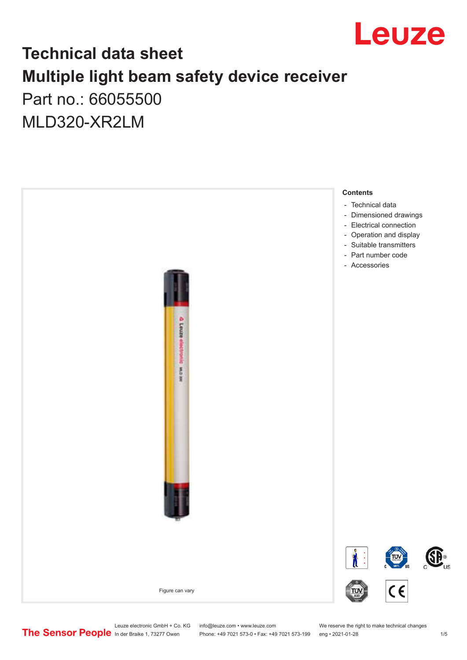

## **Technical data sheet Multiple light beam safety device receiver** Part no.: 66055500

MLD320-XR2LM



Phone: +49 7021 573-0 • Fax: +49 7021 573-199 eng • 2021-01-28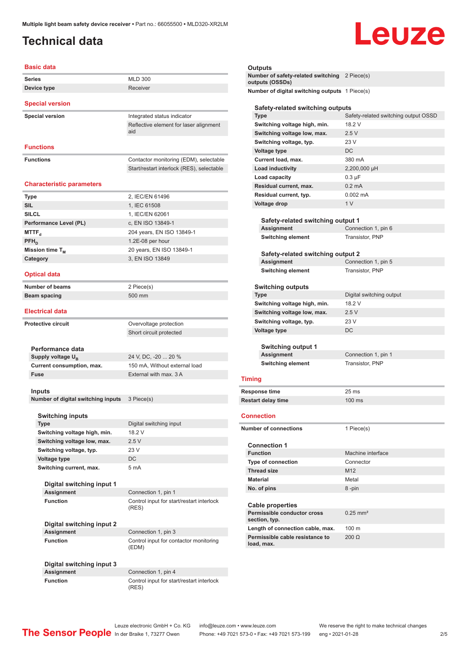## <span id="page-1-0"></span>**Technical data**

# Leuze

| <b>Series</b>                    | <b>MLD 300</b>                                |
|----------------------------------|-----------------------------------------------|
| Device type                      | Receiver                                      |
| <b>Special version</b>           |                                               |
| <b>Special version</b>           | Integrated status indicator                   |
|                                  | Reflective element for laser alignment<br>aid |
| <b>Functions</b>                 |                                               |
| <b>Functions</b>                 | Contactor monitoring (EDM), selectable        |
|                                  |                                               |
|                                  | Start/restart interlock (RES), selectable     |
| <b>Characteristic parameters</b> |                                               |
| <b>Type</b>                      | 2, IEC/EN 61496                               |
| <b>SIL</b>                       | 1, IEC 61508                                  |
| <b>SILCL</b>                     | 1, IEC/EN 62061                               |
| Performance Level (PL)           | c, EN ISO 13849-1                             |
| MTTF <sub>a</sub>                | 204 years, EN ISO 13849-1                     |
| $PFH_n$                          | 1.2E-08 per hour                              |
| Mission time T <sub>M</sub>      | 20 years, EN ISO 13849-1                      |
| Category                         | 3, EN ISO 13849                               |
| <b>Optical data</b>              |                                               |
| Number of beams                  | 2 Piece(s)                                    |

#### **Electrical data**

| <b>Protective circuit</b>          |                           | Overvoltage protection        |
|------------------------------------|---------------------------|-------------------------------|
|                                    |                           | Short circuit protected       |
|                                    |                           |                               |
|                                    | Performance data          |                               |
| Supply voltage U <sub>p</sub>      |                           | 24 V, DC, -20  20 %           |
|                                    | Current consumption, max. | 150 mA, Without external load |
| Fuse                               |                           | External with max, 3 A        |
|                                    |                           |                               |
|                                    | Inputs                    |                               |
| Number of digital switching inputs | 3 Piece(s)                |                               |
|                                    |                           |                               |
|                                    | <b>Switching inputs</b>   |                               |
|                                    | <b>Type</b>               | Digital switching input       |

| <b>Type</b>                  | Digital switching input |
|------------------------------|-------------------------|
| Switching voltage high, min. | 18.2 V                  |
| Switching voltage low, max.  | 2.5V                    |
| Switching voltage, typ.      | 23V                     |
| <b>Voltage type</b>          | DC.                     |
| Switching current, max.      | 5 <sub>m</sub> A        |
|                              |                         |
| Digital switching input 1    |                         |
|                              |                         |

(RES)

(EDM)

**Assignment** Connection 1, pin 1 **Function Control input for start/restart interlock** 

**Digital switching input 2 Assignment** Connection 1, pin 3 **Function Control input for contactor monitoring** 

**Digital switching input 3**

Connection 1, pin 4 **Function** Control input for start/restart interlock (RES)

#### **Outputs**

**Number of safety-related switching outputs (OSSDs)** 2 Piece(s) **Number of digital switching outputs** 1 Piece(s)

#### **Safety-related switching outputs**

| Type                                                   | Safety-related switching output OSSD |
|--------------------------------------------------------|--------------------------------------|
| Switching voltage high, min.                           | 18.2 V                               |
| Switching voltage low, max.                            | 2.5V                                 |
| Switching voltage, typ.                                | 23 V                                 |
| <b>Voltage type</b>                                    | DC                                   |
| Current load, max.                                     | 380 mA                               |
| <b>Load inductivity</b>                                | 2,200,000 µH                         |
| Load capacity                                          | $0.3 \mu F$                          |
| Residual current, max.                                 | $0.2 \text{ mA}$                     |
| Residual current, typ.                                 | $0.002$ mA                           |
| Voltage drop                                           | 1 <sub>V</sub>                       |
|                                                        |                                      |
| Safety-related switching output 1                      |                                      |
| Assignment                                             | Connection 1, pin 6                  |
| <b>Switching element</b>                               | <b>Transistor, PNP</b>               |
|                                                        |                                      |
| Safety-related switching output 2                      |                                      |
| Assignment                                             | Connection 1, pin 5                  |
| <b>Switching element</b>                               | Transistor, PNP                      |
|                                                        |                                      |
| <b>Switching outputs</b>                               |                                      |
| <b>Type</b>                                            | Digital switching output             |
| Switching voltage high, min.                           | 18.2 V                               |
| Switching voltage low, max.                            | 2.5V                                 |
| Switching voltage, typ.                                | 23 V                                 |
| Voltage type                                           | DC                                   |
|                                                        |                                      |
| Switching output 1                                     |                                      |
| Assignment                                             | Connection 1, pin 1                  |
| <b>Switching element</b>                               | <b>Transistor, PNP</b>               |
| <b>Timing</b>                                          |                                      |
|                                                        |                                      |
| <b>Response time</b>                                   | 25 ms                                |
| <b>Restart delay time</b>                              | 100 ms                               |
| <b>Connection</b>                                      |                                      |
|                                                        |                                      |
| <b>Number of connections</b>                           | 1 Piece(s)                           |
|                                                        |                                      |
| <b>Connection 1</b>                                    |                                      |
| <b>Function</b>                                        | Machine interface                    |
| <b>Type of connection</b>                              | Connector                            |
| <b>Thread size</b>                                     | M12                                  |
| <b>Material</b>                                        | Metal                                |
| No. of pins                                            | 8-pin                                |
|                                                        |                                      |
| <b>Cable properties</b><br>Permissible conductor cross | $0.25$ mm <sup>2</sup>               |
| section, typ.                                          |                                      |
| Length of connection cable, max.                       | 100 m                                |
| Permissible cable resistance to                        | 200 Ω                                |
| load, max.                                             |                                      |

In der Braike 1, 73277 Owen Phone: +49 7021 573-0 • Fax: +49 7021 573-199 eng • 2021-01-28 2 /5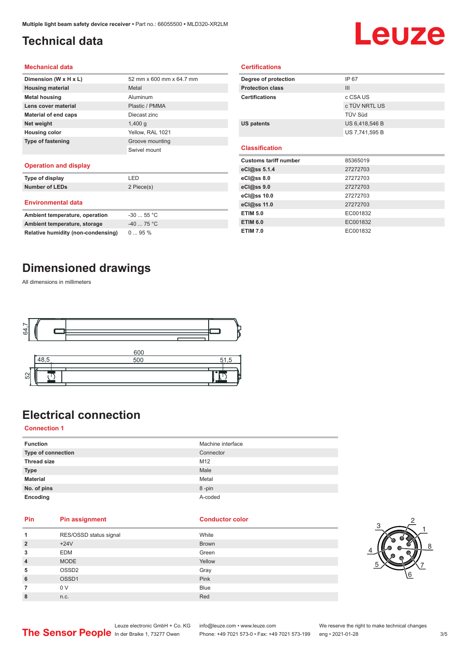## <span id="page-2-0"></span>**Technical data**

## Leuze

#### **Mechanical data**

| Dimension (W x H x L)    | 52 mm x 600 mm x 64.7 mm |
|--------------------------|--------------------------|
| <b>Housing material</b>  | Metal                    |
| <b>Metal housing</b>     | Aluminum                 |
| Lens cover material      | Plastic / PMMA           |
| Material of end caps     | Diecast zinc             |
| Net weight               | $1,400$ q                |
| <b>Housing color</b>     | Yellow, RAL 1021         |
| <b>Type of fastening</b> | Groove mounting          |
|                          | Swivel mount             |
|                          |                          |

#### **Operation and display**

| Type of display                | LED         |
|--------------------------------|-------------|
| <b>Number of LEDs</b>          | 2 Piece(s)  |
| <b>Environmental data</b>      |             |
| Ambient temperature, operation | $-3055$ °C  |
| Ambient temperature, storage   | $-40$ 75 °C |

| Degree of protection         | IP 67          |  |  |  |
|------------------------------|----------------|--|--|--|
| <b>Protection class</b>      | III            |  |  |  |
| <b>Certifications</b>        | c CSA US       |  |  |  |
|                              | c TÜV NRTL US  |  |  |  |
|                              | TÜV Süd        |  |  |  |
| <b>US patents</b>            | US 6,418,546 B |  |  |  |
|                              | US 7,741,595 B |  |  |  |
|                              |                |  |  |  |
| <b>Classification</b>        |                |  |  |  |
|                              |                |  |  |  |
| <b>Customs tariff number</b> | 85365019       |  |  |  |
| eCl@ss 5.1.4                 | 27272703       |  |  |  |
| eCl@ss 8.0                   | 27272703       |  |  |  |
| $eC$ <sub>l</sub> $@ss$ 9.0  | 27272703       |  |  |  |
| eCl@ss 10.0                  | 27272703       |  |  |  |
| eCl@ss 11.0                  | 27272703       |  |  |  |
| <b>ETIM 5.0</b>              | EC001832       |  |  |  |

**ETIM 7.0** EC001832

**Certifications**

## **Dimensioned drawings**

**Relative humidity (non-condensing)** 0 ... 95 %

All dimensions in millimeters



## **Electrical connection**

#### **Connection 1**

| <b>Function</b>    | Machine interface |
|--------------------|-------------------|
| Type of connection | Connector         |
| <b>Thread size</b> | M12               |
| <b>Type</b>        | Male              |
| <b>Material</b>    | Metal             |
| No. of pins        | 8-pin             |
| Encoding           | A-coded           |

### **Pin Pin assignment Conductor Conductor Color**

| 1              | RES/OSSD status signal | White        |
|----------------|------------------------|--------------|
| $\overline{2}$ | $+24V$                 | <b>Brown</b> |
| 3              | <b>EDM</b>             | Green        |
| $\overline{4}$ | <b>MODE</b>            | Yellow       |
| 5              | OSSD <sub>2</sub>      | Gray         |
| 6              | OSSD1                  | Pink         |
| 7              | 0 V                    | <b>Blue</b>  |
| 8              | n.c.                   | Red          |



Leuze electronic GmbH + Co. KG info@leuze.com • www.leuze.com We reserve the right to make technical changes<br>
The Sensor People in der Braike 1, 73277 Owen Phone: +49 7021 573-0 • Fax: +49 7021 573-199 eng • 2021-01-28

Phone: +49 7021 573-0 • Fax: +49 7021 573-199 eng • 2021-01-28 3/5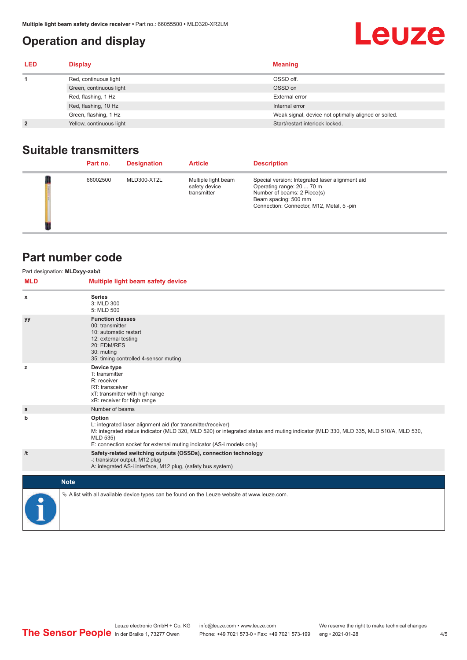## <span id="page-3-0"></span>**Operation and display**

## **Leuze**

| <b>LED</b>     | <b>Display</b>           | <b>Meaning</b>                                       |
|----------------|--------------------------|------------------------------------------------------|
|                | Red, continuous light    | OSSD off.                                            |
|                | Green, continuous light  | OSSD on                                              |
|                | Red, flashing, 1 Hz      | <b>External error</b>                                |
|                | Red, flashing, 10 Hz     | Internal error                                       |
|                | Green, flashing, 1 Hz    | Weak signal, device not optimally aligned or soiled. |
| $\overline{2}$ | Yellow, continuous light | Start/restart interlock locked.                      |

## **Suitable transmitters**

| Part no. | <b>Designation</b> | <b>Article</b>                                      | <b>Description</b>                                                                                                                                                              |
|----------|--------------------|-----------------------------------------------------|---------------------------------------------------------------------------------------------------------------------------------------------------------------------------------|
| 66002500 | MLD300-XT2L        | Multiple light beam<br>safety device<br>transmitter | Special version: Integrated laser alignment aid<br>Operating range: 20  70 m<br>Number of beams: 2 Piece(s)<br>Beam spacing: 500 mm<br>Connection: Connector, M12, Metal, 5-pin |

## **Part number code**

| <b>MLD</b> | Part designation: MLDxyy-zab/t<br>Multiple light beam safety device                                                                                                                                                                                                                               |
|------------|---------------------------------------------------------------------------------------------------------------------------------------------------------------------------------------------------------------------------------------------------------------------------------------------------|
| x          | <b>Series</b><br>3: MLD 300<br>5: MLD 500                                                                                                                                                                                                                                                         |
| уу         | <b>Function classes</b><br>00: transmitter<br>10: automatic restart<br>12: external testing<br>20: EDM/RES<br>30: muting<br>35: timing controlled 4-sensor muting                                                                                                                                 |
| z          | Device type<br>T: transmitter<br>R: receiver<br>RT: transceiver<br>xT: transmitter with high range<br>xR: receiver for high range                                                                                                                                                                 |
| a          | Number of beams                                                                                                                                                                                                                                                                                   |
| b          | Option<br>L: integrated laser alignment aid (for transmitter/receiver)<br>M: integrated status indicator (MLD 320, MLD 520) or integrated status and muting indicator (MLD 330, MLD 335, MLD 510/A, MLD 530,<br>MLD 535)<br>E: connection socket for external muting indicator (AS-i models only) |
| /t         | Safety-related switching outputs (OSSDs), connection technology<br>-: transistor output, M12 plug<br>A: integrated AS-i interface, M12 plug, (safety bus system)                                                                                                                                  |
|            | <b>Note</b>                                                                                                                                                                                                                                                                                       |
|            | $\&$ A list with all available device types can be found on the Leuze website at www.leuze.com.                                                                                                                                                                                                   |